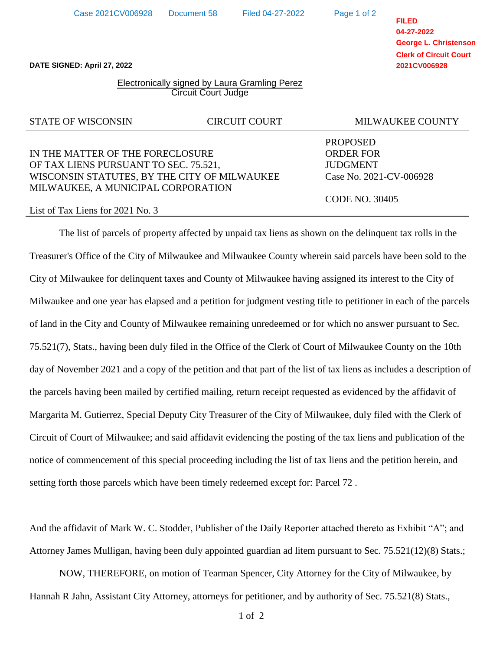Hannah R Jahn, Assistant City Attorney, attorneys for petitioner, and by authority of Sec. 75.521(8) Stats.,

**FILED 04-27-2022 George L. Christenson Clerk of Circuit Court 2021CV006928**

**DATE SIGNED: April 27, 2022**

## Electronically signed by Laura Gramling Perez Circuit Court Judge

# STATE OF WISCONSIN CIRCUIT COURT MILWAUKEE COUNTY

# IN THE MATTER OF THE FORECLOSURE ORDER FOR OF TAX LIENS PURSUANT TO SEC. 75.521, JUDGMENT WISCONSIN STATUTES, BY THE CITY OF MILWAUKEE Case No. 2021-CV-006928 MILWAUKEE, A MUNICIPAL CORPORATION

#### List of Tax Liens for 2021 No. 3

The list of parcels of property affected by unpaid tax liens as shown on the delinquent tax rolls in the Treasurer's Office of the City of Milwaukee and Milwaukee County wherein said parcels have been sold to the City of Milwaukee for delinquent taxes and County of Milwaukee having assigned its interest to the City of Milwaukee and one year has elapsed and a petition for judgment vesting title to petitioner in each of the parcels of land in the City and County of Milwaukee remaining unredeemed or for which no answer pursuant to Sec. 75.521(7), Stats., having been duly filed in the Office of the Clerk of Court of Milwaukee County on the 10th day of November 2021 and a copy of the petition and that part of the list of tax liens as includes a description of the parcels having been mailed by certified mailing, return receipt requested as evidenced by the affidavit of Margarita M. Gutierrez, Special Deputy City Treasurer of the City of Milwaukee, duly filed with the Clerk of Circuit of Court of Milwaukee; and said affidavit evidencing the posting of the tax liens and publication of the notice of commencement of this special proceeding including the list of tax liens and the petition herein, and setting forth those parcels which have been timely redeemed except for: Parcel 72 .

And the affidavit of Mark W. C. Stodder, Publisher of the Daily Reporter attached thereto as Exhibit "A"; and Attorney James Mulligan, having been duly appointed guardian ad litem pursuant to Sec. 75.521(12)(8) Stats.;

PROPOSED

Page 1 of 2

CODE NO. 30405